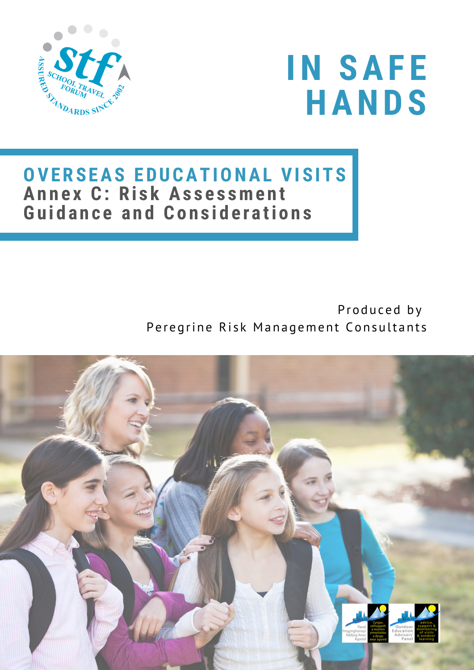

# **IN SAF E HANDS**

# **OVERSEAS EDUCATIONAL VISITS An n e x C: Ri s k As s e s sme n t Guidance and Considerations**

### Produc ed by Peregrine Risk Management Consultants

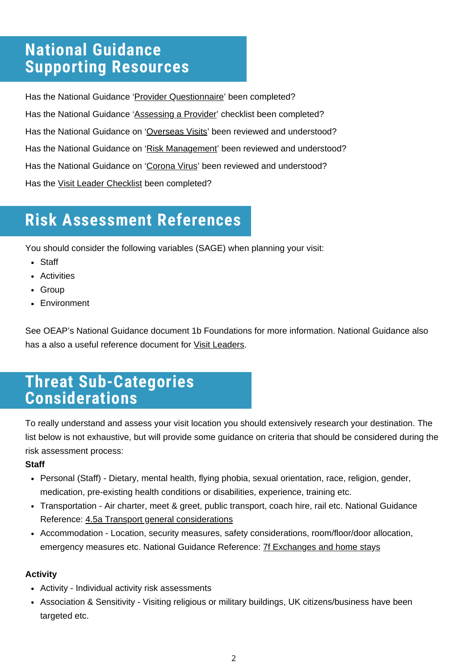## **National Guidance Supporting Resources**

Has the National Guidance 'Provider [Questionnaire](https://oeapng.info/downloads/download-info/8p-provider-questionnaire/)' been completed? Has the National Guidance ['Assessing](https://oeapng.info/downloads/download-info/4-4f-assessing-an-adventure-activity-provider-check-list/) a Provider' checklist been completed? Has the National Guidance on ['Overseas](https://oeapng.info/downloads/download-info/7r-overseas-visits/) Visits' been reviewed and understood? Has the National Guidance on 'Risk [Management'](https://oeapng.info/downloads/download-info/4-3c-risk-management/) been reviewed and understood? Has the National Guidance on ['Corona](https://oeapng.info/downloads/download-info/4-4k-coronavirus/) Virus' been reviewed and understood? Has the Visit Leader [Checklist](https://oeapng.info/downloads/download-info/3-3e-visit-leader-check-list/) been completed?

# **Risk Assessment References**

You should consider the following variables (SAGE) when planning your visit:

- Staff
- Activities
- Group
- Environment

See OEAP's National Guidance document 1b Foundations for more information. National Guidance also has a also a useful reference document for Visit [Leaders](https://oeapng.info/visit-leader/).

### **Threat Sub-Categories Considerations**

To really understand and assess your visit location you should extensively research your destination. The list below is not exhaustive, but will provide some guidance on criteria that should be considered during the risk assessment process:

#### **Staff**

- Personal (Staff) Dietary, mental health, flying phobia, sexual orientation, race, religion, gender, medication, pre-existing health conditions or disabilities, experience, training etc.
- Transportation Air charter, meet & greet, public transport, coach hire, rail etc. National Guidance Reference: 4.5a Transport general [considerations](https://oeapng.info/downloads/download-info/4-5a-transport-general-considerations/)
- Accommodation Location, security measures, safety considerations, room/floor/door allocation, emergency measures etc. National Guidance Reference: 7f [Exchanges](https://oeapng.info/downloads/download-info/7f-exchanges-and-home-stays/) and home stays

#### **Activity**

- Activity Individual activity risk assessments
- Association & Sensitivity Visiting religious or military buildings, UK citizens/business have been targeted etc.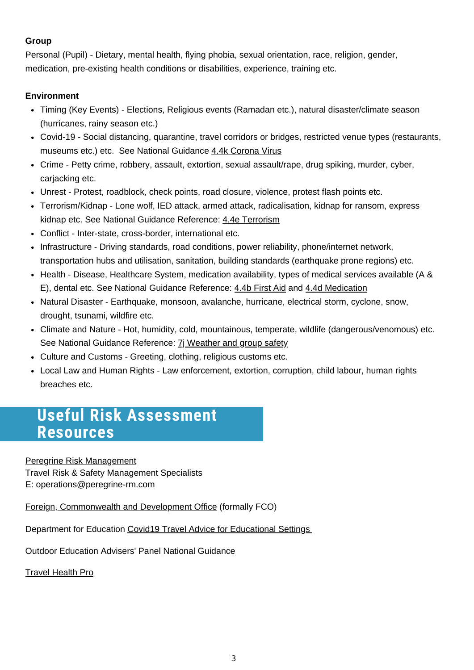#### **Group**

Personal (Pupil) - Dietary, mental health, flying phobia, sexual orientation, race, religion, gender, medication, pre-existing health conditions or disabilities, experience, training etc.

#### **Environment**

- Timing (Key Events) Elections, Religious events (Ramadan etc.), natural disaster/climate season (hurricanes, rainy season etc.)
- Covid-19 Social distancing, quarantine, travel corridors or bridges, restricted venue types (restaurants, museums etc.) etc. See National Guidance 4.4k [Corona](https://oeapng.info/downloads/download-info/4-4k-coronavirus) Virus
- Crime Petty crime, robbery, assault, extortion, sexual assault/rape, drug spiking, murder, cyber, carjacking etc.
- Unrest Protest, roadblock, check points, road closure, violence, protest flash points etc.
- Terrorism/Kidnap Lone wolf, IED attack, armed attack, radicalisation, kidnap for ransom, express kidnap etc. See National Guidance Reference: 4.4e [Terrorism](https://oeapng.info/downloads/download-info/4-4e-terrorism/)
- Conflict Inter-state, cross-border, international etc.
- Infrastructure Driving standards, road conditions, power reliability, phone/internet network, transportation hubs and utilisation, sanitation, building standards (earthquake prone regions) etc.
- Health Disease, Healthcare System, medication availability, types of medical services available (A & E), dental etc. See National Guidance Reference: 4.4b [First](https://oeapng.info/downloads/download-info/4-4b-first-aid/) Aid and 4.4d [Medication](https://oeapng.info/downloads/download-info/4-4d-medication/)
- Natural Disaster Earthquake, monsoon, avalanche, hurricane, electrical storm, cyclone, snow, drought, tsunami, wildfire etc.
- Climate and Nature Hot, humidity, cold, mountainous, temperate, wildlife (dangerous/venomous) etc. See National Guidance Reference: 7j [Weather](https://oeapng.info/downloads/download-info/7j-weather-and-group-safety/) and group safety
- Culture and Customs Greeting, clothing, religious customs etc.
- Local Law and Human Rights Law enforcement, extortion, corruption, child labour, human rights breaches etc.

### **Useful Risk Assessment Resources**

Peregrine Risk [Management](http://www.peregrine-rm.com/)

Travel Risk & Safety Management Specialists E: operations@peregrine-rm.com

Foreign, [Commonwealth](http://www.gov.uk/government/organisations/foreign-commonwealth-development-office) and Development Office (formally FCO)

Department for Education Covid19 Travel Advice for [Educational](https://www.gov.uk/government/publications/coronavirus-covid-19-travel-advice-for-educational-settings/coronavirus-travel-guidance-for-educational-settings) Settings

Outdoor Education Advisers' Panel National [Guidance](http://oeapng.info/)

Travel [Health](http://travelhealthpro.org.uk/) Pro